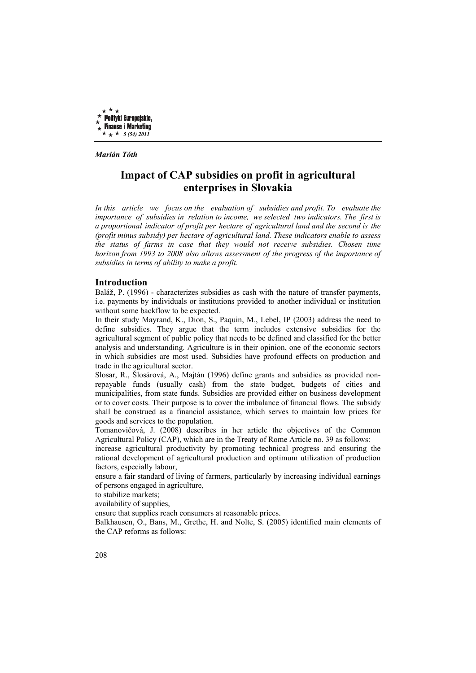

*Marián Tóth* 

# **Impact of CAP subsidies on profit in agricultural enterprises in Slovakia**

*In this article we focus on the evaluation of subsidies and profit. To evaluate the importance of subsidies in relation to income, we selected two indicators. The first is a proportional indicator of profit per hectare of agricultural land and the second is the (profit minus subsidy) per hectare of agricultural land. These indicators enable to assess the status of farms in case that they would not receive subsidies. Chosen time horizon from 1993 to 2008 also allows assessment of the progress of the importance of subsidies in terms of ability to make a profit.* 

# **Introduction**

Baláž, P. (1996) - characterizes subsidies as cash with the nature of transfer payments, i.e. payments by individuals or institutions provided to another individual or institution without some backflow to be expected.

In their study Mayrand, K., Dion, S., Paquin, M., Lebel, IP (2003) address the need to define subsidies. They argue that the term includes extensive subsidies for the agricultural segment of public policy that needs to be defined and classified for the better analysis and understanding. Agriculture is in their opinion, one of the economic sectors in which subsidies are most used. Subsidies have profound effects on production and trade in the agricultural sector.

Slosar, R., Šlosárová, A., Majtán (1996) define grants and subsidies as provided nonrepayable funds (usually cash) from the state budget, budgets of cities and municipalities, from state funds. Subsidies are provided either on business development or to cover costs. Their purpose is to cover the imbalance of financial flows. The subsidy shall be construed as a financial assistance, which serves to maintain low prices for goods and services to the population.

Tomanovičová, J. (2008) describes in her article the objectives of the Common Agricultural Policy (CAP), which are in the Treaty of Rome Article no. 39 as follows:

increase agricultural productivity by promoting technical progress and ensuring the rational development of agricultural production and optimum utilization of production factors, especially labour,

ensure a fair standard of living of farmers, particularly by increasing individual earnings of persons engaged in agriculture,

to stabilize markets;

availability of supplies,

ensure that supplies reach consumers at reasonable prices.

Balkhausen, O., Bans, M., Grethe, H. and Nolte, S. (2005) identified main elements of the CAP reforms as follows: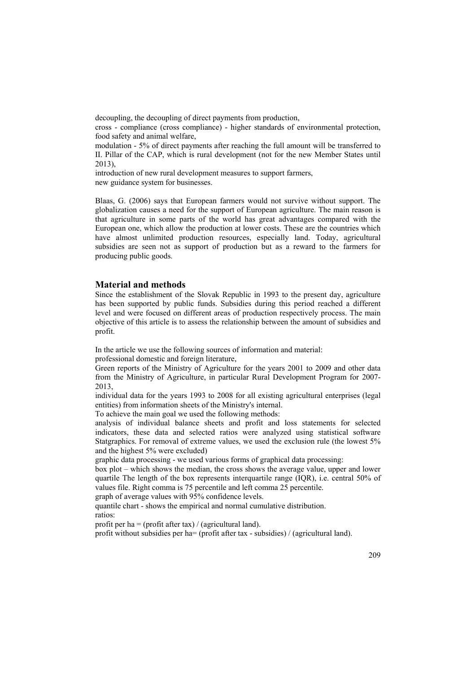decoupling, the decoupling of direct payments from production,

cross - compliance (cross compliance) - higher standards of environmental protection, food safety and animal welfare,

modulation - 5% of direct payments after reaching the full amount will be transferred to II. Pillar of the CAP, which is rural development (not for the new Member States until  $2013$ 

introduction of new rural development measures to support farmers, new guidance system for businesses.

Blaas, G. (2006) says that European farmers would not survive without support. The globalization causes a need for the support of European agriculture. The main reason is that agriculture in some parts of the world has great advantages compared with the European one, which allow the production at lower costs. These are the countries which have almost unlimited production resources, especially land. Today, agricultural subsidies are seen not as support of production but as a reward to the farmers for producing public goods.

### **Material and methods**

Since the establishment of the Slovak Republic in 1993 to the present day, agriculture has been supported by public funds. Subsidies during this period reached a different level and were focused on different areas of production respectively process. The main objective of this article is to assess the relationship between the amount of subsidies and profit.

In the article we use the following sources of information and material:

professional domestic and foreign literature,

Green reports of the Ministry of Agriculture for the years 2001 to 2009 and other data from the Ministry of Agriculture, in particular Rural Development Program for 2007- 2013,

individual data for the years 1993 to 2008 for all existing agricultural enterprises (legal entities) from information sheets of the Ministry's internal.

To achieve the main goal we used the following methods:

analysis of individual balance sheets and profit and loss statements for selected indicators, these data and selected ratios were analyzed using statistical software Statgraphics. For removal of extreme values, we used the exclusion rule (the lowest 5% and the highest 5% were excluded)

graphic data processing - we used various forms of graphical data processing:

box plot – which shows the median, the cross shows the average value, upper and lower quartile The length of the box represents interquartile range (IQR), i.e. central 50% of values file. Right comma is 75 percentile and left comma 25 percentile.

graph of average values with 95% confidence levels.

quantile chart - shows the empirical and normal cumulative distribution. ratios:

profit per ha = (profit after tax) / (agricultural land).

profit without subsidies per ha= (profit after tax - subsidies) / (agricultural land).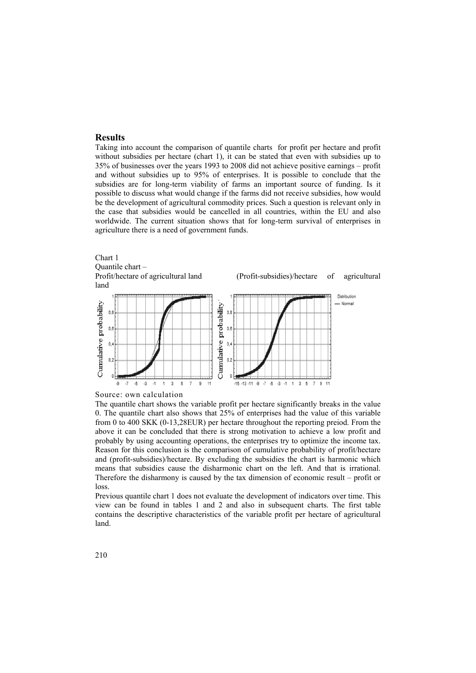## **Results**

Taking into account the comparison of quantile charts for profit per hectare and profit without subsidies per hectare (chart 1), it can be stated that even with subsidies up to 35% of businesses over the years 1993 to 2008 did not achieve positive earnings – profit and without subsidies up to 95% of enterprises. It is possible to conclude that the subsidies are for long-term viability of farms an important source of funding. Is it possible to discuss what would change if the farms did not receive subsidies, how would be the development of agricultural commodity prices. Such a question is relevant only in the case that subsidies would be cancelled in all countries, within the EU and also worldwide. The current situation shows that for long-term survival of enterprises in agriculture there is a need of government funds.





The quantile chart shows the variable profit per hectare significantly breaks in the value 0. The quantile chart also shows that 25% of enterprises had the value of this variable from 0 to 400 SKK (0-13,28EUR) per hectare throughout the reporting preiod. From the above it can be concluded that there is strong motivation to achieve a low profit and probably by using accounting operations, the enterprises try to optimize the income tax. Reason for this conclusion is the comparison of cumulative probability of profit/hectare and (profit-subsidies)/hectare. By excluding the subsidies the chart is harmonic which means that subsidies cause the disharmonic chart on the left. And that is irrational. Therefore the disharmony is caused by the tax dimension of economic result – profit or loss.

Previous quantile chart 1 does not evaluate the development of indicators over time. This view can be found in tables 1 and 2 and also in subsequent charts. The first table contains the descriptive characteristics of the variable profit per hectare of agricultural land.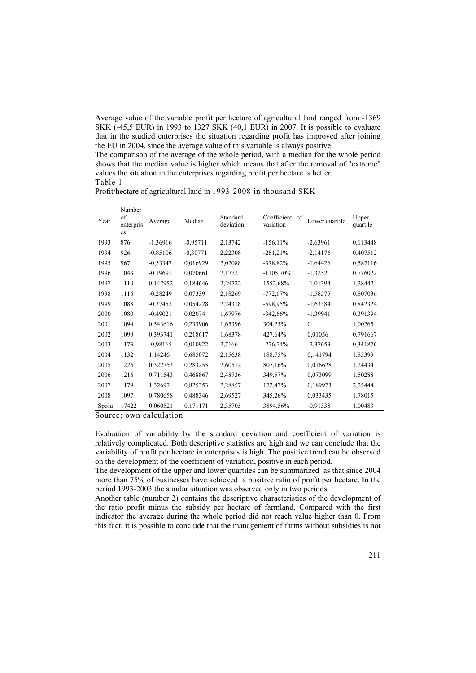Average value of the variable profit per hectare of agricultural land ranged from -1369 SKK (-45,5 EUR) in 1993 to 1327 SKK (40,1 EUR) in 2007. It is possible to evaluate that in the studied enterprises the situation regarding profit has improved after joining the EU in 2004, since the average value of this variable is always positive.

The comparison of the average of the whole period, with a median for the whole period shows that the median value is higher which means that after the removal of "extreme" values the situation in the enterprises regarding profit per hectare is better. Table 1

Profit/hectare of agricultural land in 1993-2008 in thousand SKK

| Year  | Number<br>of<br>enterpris<br>es | Average    | Median     | Standard<br>deviation | Coefficient of<br>variation | Lower quartile | Upper<br>quartile |
|-------|---------------------------------|------------|------------|-----------------------|-----------------------------|----------------|-------------------|
| 1993  | 876                             | $-1,36916$ | $-0.95711$ | 2,13742               | $-156, 11\%$                | $-2,63961$     | 0,113448          |
| 1994  | 926                             | $-0.85106$ | $-0,30771$ | 2,22308               | $-261,21%$                  | $-2,14176$     | 0,407512          |
| 1995  | 967                             | $-0,53347$ | 0,016929   | 2,02088               | $-378,82%$                  | $-1,64426$     | 0,587116          |
| 1996  | 1043                            | $-0,19691$ | 0,070661   | 2,1772                | $-1105,70\%$                | $-1,3252$      | 0,776022          |
| 1997  | 1110                            | 0,147952   | 0,184646   | 2,29722               | 1552,68%                    | $-1,01394$     | 1,28442           |
| 1998  | 1116                            | $-0,28249$ | 0,07339    | 2,18269               | $-772,67%$                  | $-1,58575$     | 0,807036          |
| 1999  | 1088                            | $-0,37452$ | 0,054228   | 2,24318               | $-598,95%$                  | $-1,63384$     | 0,842324          |
| 2000  | 1080                            | $-0,49021$ | 0,02074    | 1,67976               | $-342,66%$                  | $-1,39941$     | 0,391394          |
| 2001  | 1094                            | 0,543616   | 0,233906   | 1,65396               | 304,25%                     | $\mathbf{0}$   | 1,00265           |
| 2002  | 1099                            | 0,393741   | 0,218617   | 1,68378               | 427,64%                     | 0,01056        | 0,791667          |
| 2003  | 1173                            | $-0.98165$ | 0,010922   | 2,7166                | $-276,74%$                  | $-2,37653$     | 0,341876          |
| 2004  | 1132                            | 1,14246    | 0,685072   | 2,15638               | 188,75%                     | 0,141794       | 1,85399           |
| 2005  | 1226                            | 0,322753   | 0,283255   | 2,60512               | 807,16%                     | 0,016628       | 1,24434           |
| 2006  | 1216                            | 0,711543   | 0,468867   | 2,48736               | 349,57%                     | 0,073099       | 1,50288           |
| 2007  | 1179                            | 1,32697    | 0,825353   | 2,28857               | 172,47%                     | 0,189973       | 2,25444           |
| 2008  | 1097                            | 0,780658   | 0,488346   | 2,69527               | 345,26%                     | 0,033435       | 1,78015           |
| Spolu | 17422                           | 0,060521   | 0,171171   | 2,35705               | 3894,56%                    | $-0,91338$     | 1,00483           |

Source: own calculation

Evaluation of variability by the standard deviation and coefficient of variation is relatively complicated. Both descriptive statistics are high and we can conclude that the variability of profit per hectare in enterprises is high. The positive trend can be observed on the development of the coefficient of variation, positive in each period.

The development of the upper and lower quartiles can be summarized as that since 2004 more than 75% of businesses have achieved a positive ratio of profit per hectare. In the period 1993-2003 the similar situation was observed only in two periods.

Another table (number 2) contains the descriptive characteristics of the development of the ratio profit minus the subsidy per hectare of farmland. Compared with the first indicator the average during the whole period did not reach value higher than 0. From this fact, it is possible to conclude that the management of farms without subsidies is not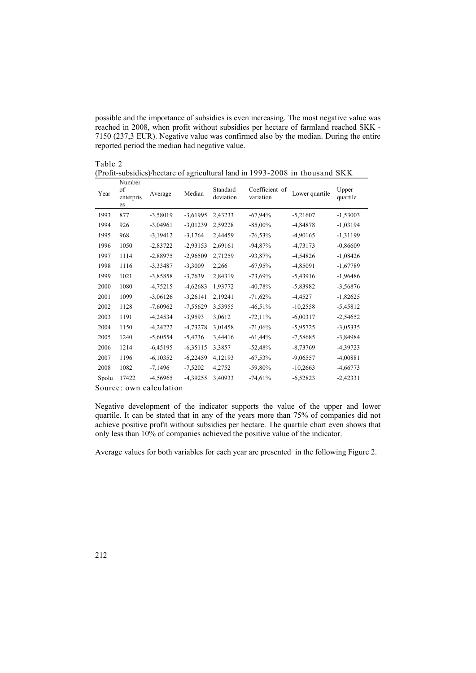possible and the importance of subsidies is even increasing. The most negative value was reached in 2008, when profit without subsidies per hectare of farmland reached SKK - 7150 (237,3 EUR). Negative value was confirmed also by the median. During the entire reported period the median had negative value.

÷

| Table 2                                                                      |  |
|------------------------------------------------------------------------------|--|
| (Profit-subsidies)/hectare of agricultural land in 1993-2008 in thousand SKK |  |
| Numbar                                                                       |  |

| Year  | Number<br>of<br>enterpris<br>es | Average    | Median     | Standard<br>deviation | Coefficient of<br>variation | Lower quartile | Upper<br>quartile |
|-------|---------------------------------|------------|------------|-----------------------|-----------------------------|----------------|-------------------|
| 1993  | 877                             | $-3,58019$ | $-3,61995$ | 2,43233               | $-67,94%$                   | $-5,21607$     | $-1,53003$        |
| 1994  | 926                             | $-3,04961$ | $-3,01239$ | 2,59228               | $-85,00\%$                  | $-4,84878$     | $-1,03194$        |
| 1995  | 968                             | $-3,19412$ | $-3,1764$  | 2,44459               | $-76,53\%$                  | $-4,90165$     | $-1,31199$        |
| 1996  | 1050                            | $-2,83722$ | $-2,93153$ | 2,69161               | $-94,87%$                   | $-4,73173$     | $-0,86609$        |
| 1997  | 1114                            | $-2,88975$ | $-2,96509$ | 2,71259               | $-93,87%$                   | $-4,54826$     | $-1,08426$        |
| 1998  | 1116                            | $-3,33487$ | $-3,3009$  | 2,266                 | $-67,95%$                   | $-4,85091$     | $-1,67789$        |
| 1999  | 1021                            | $-3,85858$ | $-3,7639$  | 2,84319               | $-73,69%$                   | $-5,43916$     | $-1,96486$        |
| 2000  | 1080                            | $-4,75215$ | $-4,62683$ | 1,93772               | $-40,78%$                   | $-5,83982$     | $-3,56876$        |
| 2001  | 1099                            | $-3,06126$ | $-3,26141$ | 2,19241               | $-71,62%$                   | $-4,4527$      | $-1,82625$        |
| 2002  | 1128                            | $-7,60962$ | $-7,55629$ | 3,53955               | $-46,51%$                   | $-10,2558$     | $-5,45812$        |
| 2003  | 1191                            | $-4,24534$ | $-3,9593$  | 3,0612                | $-72,11%$                   | $-6,00317$     | $-2,54652$        |
| 2004  | 1150                            | $-4,24222$ | $-4,73278$ | 3,01458               | $-71,06%$                   | $-5,95725$     | $-3,05335$        |
| 2005  | 1240                            | $-5,60554$ | $-5,4736$  | 3,44416               | $-61,44%$                   | $-7,58685$     | $-3,84984$        |
| 2006  | 1214                            | $-6,45195$ | $-6,35115$ | 3,3857                | $-52,48%$                   | $-8,73769$     | $-4,39723$        |
| 2007  | 1196                            | $-6,10352$ | $-6,22459$ | 4,12193               | $-67,53\%$                  | $-9,06557$     | $-4,00881$        |
| 2008  | 1082                            | $-7,1496$  | $-7,5202$  | 4,2752                | -59,80%                     | $-10,2663$     | $-4,66773$        |
| Spolu | 17422                           | -4,56965   | $-4,39255$ | 3,40933               | $-74,61%$                   | $-6,52823$     | $-2,42331$        |

Source: own calculation

Negative development of the indicator supports the value of the upper and lower quartile. It can be stated that in any of the years more than 75% of companies did not achieve positive profit without subsidies per hectare. The quartile chart even shows that only less than 10% of companies achieved the positive value of the indicator.

Average values for both variables for each year are presented in the following Figure 2.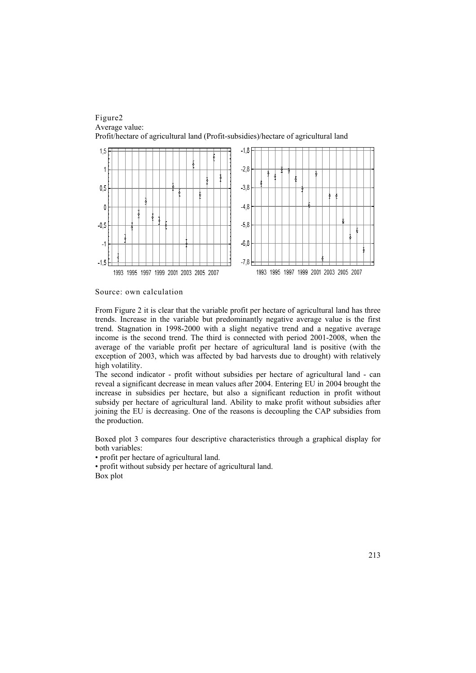

Source: own calculation

From Figure 2 it is clear that the variable profit per hectare of agricultural land has three trends. Increase in the variable but predominantly negative average value is the first trend. Stagnation in 1998-2000 with a slight negative trend and a negative average income is the second trend. The third is connected with period 2001-2008, when the average of the variable profit per hectare of agricultural land is positive (with the exception of 2003, which was affected by bad harvests due to drought) with relatively high volatility.

The second indicator - profit without subsidies per hectare of agricultural land - can reveal a significant decrease in mean values after 2004. Entering EU in 2004 brought the increase in subsidies per hectare, but also a significant reduction in profit without subsidy per hectare of agricultural land. Ability to make profit without subsidies after joining the EU is decreasing. One of the reasons is decoupling the CAP subsidies from the production.

Boxed plot 3 compares four descriptive characteristics through a graphical display for both variables:

• profit per hectare of agricultural land.

• profit without subsidy per hectare of agricultural land. Box plot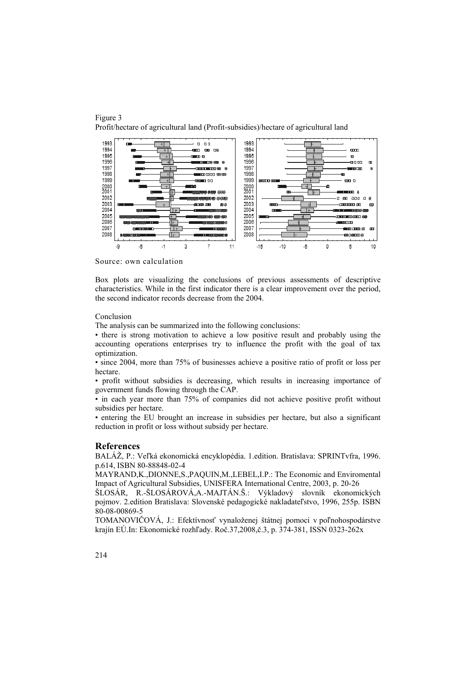



Source: own calculation

Box plots are visualizing the conclusions of previous assessments of descriptive characteristics. While in the first indicator there is a clear improvement over the period, the second indicator records decrease from the 2004.

#### Conclusion

The analysis can be summarized into the following conclusions:

• there is strong motivation to achieve a low positive result and probably using the accounting operations enterprises try to influence the profit with the goal of tax optimization.

• since 2004, more than 75% of businesses achieve a positive ratio of profit or loss per hectare.

• profit without subsidies is decreasing, which results in increasing importance of government funds flowing through the CAP.

• in each year more than 75% of companies did not achieve positive profit without subsidies per hectare.

• entering the EU brought an increase in subsidies per hectare, but also a significant reduction in profit or loss without subsidy per hectare.

#### **References**

BALÁŽ, P.: Veľká ekonomická encyklopédia. 1.edition. Bratislava: SPRINTvfra, 1996. p.614, ISBN 80-88848-02-4

MAYRAND,K.,DIONNE,S.,PAQUIN,M.,LEBEL,I.P.: The Economic and Enviromental Impact of Agricultural Subsidies, UNISFERA International Centre, 2003, p. 20-26

ŠLOSÁR, R.-ŠLOSÁROVÁ,A.-MAJTÁN.Š.: Výkladový slovník ekonomických pojmov. 2.edition Bratislava: Slovenské pedagogické nakladateľstvo, 1996, 255p. ISBN 80-08-00869-5

TOMANOVIČOVÁ, J.: Efektívnosť vynaloženej štátnej pomoci v poľnohospodárstve krajín EÚ.In: Ekonomické rozhľady. Roč.37,2008,č.3, p. 374-381, ISSN 0323-262x